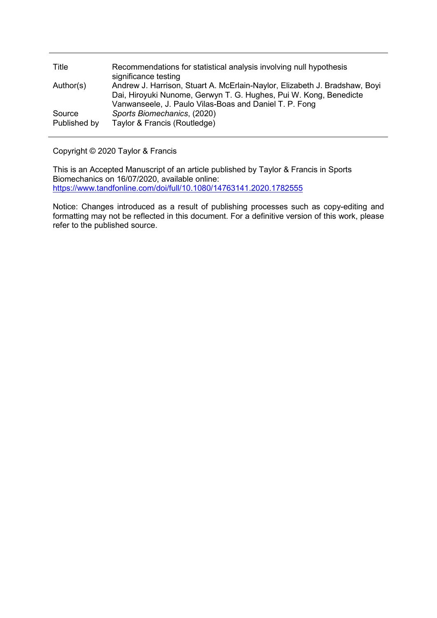| Title                  | Recommendations for statistical analysis involving null hypothesis<br>significance testing                                                                                                                |
|------------------------|-----------------------------------------------------------------------------------------------------------------------------------------------------------------------------------------------------------|
| Author(s)              | Andrew J. Harrison, Stuart A. McErlain-Naylor, Elizabeth J. Bradshaw, Boyi<br>Dai, Hiroyuki Nunome, Gerwyn T. G. Hughes, Pui W. Kong, Benedicte<br>Vanwanseele, J. Paulo Vilas-Boas and Daniel T. P. Fong |
| Source<br>Published by | Sports Biomechanics, (2020)<br>Taylor & Francis (Routledge)                                                                                                                                               |

## Copyright © 2020 Taylor & Francis

This is an Accepted Manuscript of an article published by Taylor & Francis in Sports Biomechanics on 16/07/2020, available online: <https://www.tandfonline.com/doi/full/10.1080/14763141.2020.1782555>

Notice: Changes introduced as a result of publishing processes such as copy-editing and formatting may not be reflected in this document. For a definitive version of this work, please refer to the published source.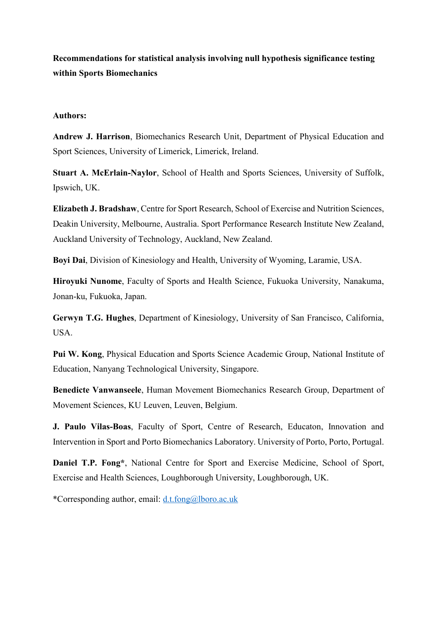**Recommendations for statistical analysis involving null hypothesis significance testing within Sports Biomechanics**

## **Authors:**

**Andrew J. Harrison**, Biomechanics Research Unit, Department of Physical Education and Sport Sciences, University of Limerick, Limerick, Ireland.

**Stuart A. McErlain-Naylor**, School of Health and Sports Sciences, University of Suffolk, Ipswich, UK.

**Elizabeth J. Bradshaw**, Centre for Sport Research, School of Exercise and Nutrition Sciences, Deakin University, Melbourne, Australia. Sport Performance Research Institute New Zealand, Auckland University of Technology, Auckland, New Zealand.

**Boyi Dai**, Division of Kinesiology and Health, University of Wyoming, Laramie, USA.

**Hiroyuki Nunome**, Faculty of Sports and Health Science, Fukuoka University, Nanakuma, Jonan-ku, Fukuoka, Japan.

**Gerwyn T.G. Hughes**, Department of Kinesiology, University of San Francisco, California, USA.

**Pui W. Kong**, Physical Education and Sports Science Academic Group, National Institute of Education, Nanyang Technological University, Singapore.

**Benedicte Vanwanseele**, Human Movement Biomechanics Research Group, Department of Movement Sciences, KU Leuven, Leuven, Belgium.

**J. Paulo Vilas-Boas**, Faculty of Sport, Centre of Research, Educaton, Innovation and Intervention in Sport and Porto Biomechanics Laboratory. University of Porto, Porto, Portugal.

**Daniel T.P. Fong\***, National Centre for Sport and Exercise Medicine, School of Sport, Exercise and Health Sciences, Loughborough University, Loughborough, UK.

\*Corresponding author, email: [d.t.fong@lboro.ac.uk](mailto:d.t.fong@lboro.ac.uk)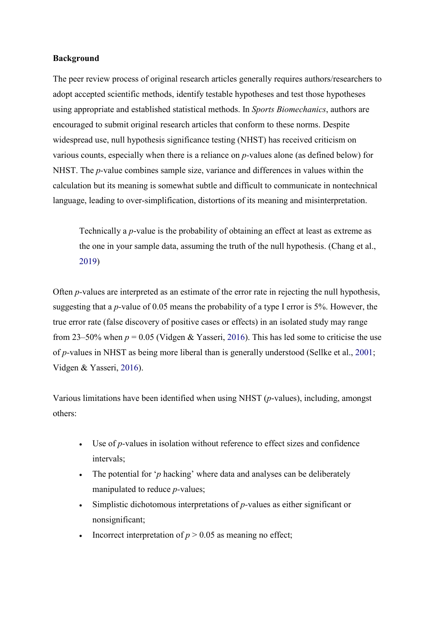## **Background**

The peer review process of original research articles generally requires authors/researchers to adopt accepted scientific methods, identify testable hypotheses and test those hypotheses using appropriate and established statistical methods. In *Sports Biomechanics*, authors are encouraged to submit original research articles that conform to these norms. Despite widespread use, null hypothesis significance testing (NHST) has received criticism on various counts, especially when there is a reliance on *p-*values alone (as defined below) for NHST. The *p-*value combines sample size, variance and differences in values within the calculation but its meaning is somewhat subtle and difficult to communicate in nontechnical language, leading to over-simplification, distortions of its meaning and misinterpretation.

Technically a *p*-value is the probability of obtaining an effect at least as extreme as the one in your sample data, assuming the truth of the null hypothesis. (Chang et al., 2019)

Often *p-*values are interpreted as an estimate of the error rate in rejecting the null hypothesis, suggesting that a *p-*value of 0.05 means the probability of a type I error is 5%. However, the true error rate (false discovery of positive cases or effects) in an isolated study may range from 23–50% when  $p = 0.05$  (Vidgen & Yasseri, 2016). This has led some to criticise the use of *p-*values in NHST as being more liberal than is generally understood (Sellke et al., 2001; Vidgen & Yasseri, 2016).

Various limitations have been identified when using NHST (*p*-values), including, amongst others:

- Use of *p*-values in isolation without reference to effect sizes and confidence intervals;
- The potential for '*p* hacking' where data and analyses can be deliberately manipulated to reduce *p-*values;
- Simplistic dichotomous interpretations of *p-*values as either significant or nonsignificant;
- Incorrect interpretation of  $p > 0.05$  as meaning no effect;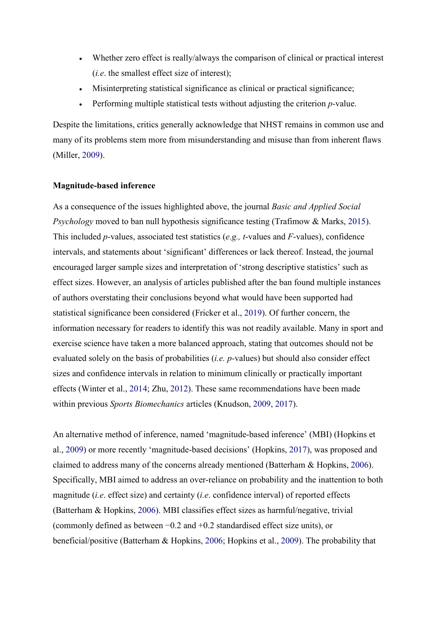- Whether zero effect is really/always the comparison of clinical or practical interest (*i.e*. the smallest effect size of interest);
- Misinterpreting statistical significance as clinical or practical significance;
- Performing multiple statistical tests without adjusting the criterion *p-*value.

Despite the limitations, critics generally acknowledge that NHST remains in common use and many of its problems stem more from misunderstanding and misuse than from inherent flaws (Miller, 2009).

### **Magnitude-based inference**

As a consequence of the issues highlighted above, the journal *Basic and Applied Social Psychology* moved to ban null hypothesis significance testing (Trafimow & Marks, 2015). This included *p-*values, associated test statistics (*e.g., t*-values and *F*-values), confidence intervals, and statements about 'significant' differences or lack thereof. Instead, the journal encouraged larger sample sizes and interpretation of 'strong descriptive statistics' such as effect sizes. However, an analysis of articles published after the ban found multiple instances of authors overstating their conclusions beyond what would have been supported had statistical significance been considered (Fricker et al., 2019). Of further concern, the information necessary for readers to identify this was not readily available. Many in sport and exercise science have taken a more balanced approach, stating that outcomes should not be evaluated solely on the basis of probabilities (*i.e. p-*values) but should also consider effect sizes and confidence intervals in relation to minimum clinically or practically important effects (Winter et al., 2014; Zhu, 2012). These same recommendations have been made within previous *Sports Biomechanics* articles (Knudson, 2009, 2017).

An alternative method of inference, named 'magnitude-based inference' (MBI) (Hopkins et al., 2009) or more recently 'magnitude-based decisions' (Hopkins, 2017), was proposed and claimed to address many of the concerns already mentioned (Batterham & Hopkins, 2006). Specifically, MBI aimed to address an over-reliance on probability and the inattention to both magnitude (*i.e*. effect size) and certainty (*i.e*. confidence interval) of reported effects (Batterham & Hopkins, 2006). MBI classifies effect sizes as harmful/negative, trivial (commonly defined as between −0.2 and +0.2 standardised effect size units), or beneficial/positive (Batterham & Hopkins, 2006; Hopkins et al., 2009). The probability that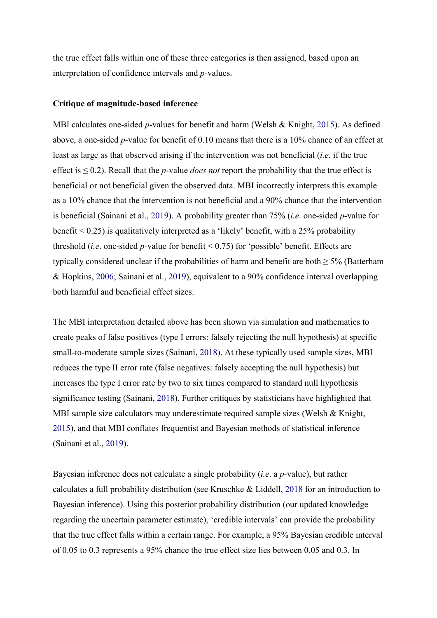the true effect falls within one of these three categories is then assigned, based upon an interpretation of confidence intervals and *p-*values.

#### **Critique of magnitude-based inference**

MBI calculates one-sided *p-*values for benefit and harm (Welsh & Knight, 2015). As defined above, a one-sided *p-*value for benefit of 0.10 means that there is a 10% chance of an effect at least as large as that observed arising if the intervention was not beneficial (*i.e*. if the true effect is ≤ 0.2). Recall that the *p-*value *does not* report the probability that the true effect is beneficial or not beneficial given the observed data. MBI incorrectly interprets this example as a 10% chance that the intervention is not beneficial and a 90% chance that the intervention is beneficial (Sainani et al., 2019). A probability greater than 75% (*i.e*. one-sided *p-*value for benefit  $\leq 0.25$ ) is qualitatively interpreted as a 'likely' benefit, with a 25% probability threshold (*i.e*. one-sided *p-*value for benefit < 0.75) for 'possible' benefit. Effects are typically considered unclear if the probabilities of harm and benefit are both  $> 5\%$  (Batterham & Hopkins, 2006; Sainani et al., 2019), equivalent to a 90% confidence interval overlapping both harmful and beneficial effect sizes.

The MBI interpretation detailed above has been shown via simulation and mathematics to create peaks of false positives (type I errors: falsely rejecting the null hypothesis) at specific small-to-moderate sample sizes (Sainani, 2018). At these typically used sample sizes, MBI reduces the type II error rate (false negatives: falsely accepting the null hypothesis) but increases the type I error rate by two to six times compared to standard null hypothesis significance testing (Sainani, 2018). Further critiques by statisticians have highlighted that MBI sample size calculators may underestimate required sample sizes (Welsh & Knight, 2015), and that MBI conflates frequentist and Bayesian methods of statistical inference (Sainani et al., 2019).

Bayesian inference does not calculate a single probability (*i.e*. a *p-*value), but rather calculates a full probability distribution (see Kruschke & Liddell, 2018 for an introduction to Bayesian inference). Using this posterior probability distribution (our updated knowledge regarding the uncertain parameter estimate), 'credible intervals' can provide the probability that the true effect falls within a certain range. For example, a 95% Bayesian credible interval of 0.05 to 0.3 represents a 95% chance the true effect size lies between 0.05 and 0.3. In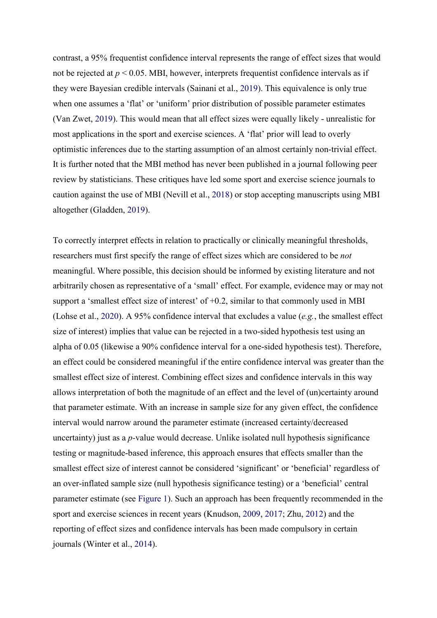contrast, a 95% frequentist confidence interval represents the range of effect sizes that would not be rejected at  $p < 0.05$ . MBI, however, interprets frequentist confidence intervals as if they were Bayesian credible intervals (Sainani et al., 2019). This equivalence is only true when one assumes a 'flat' or 'uniform' prior distribution of possible parameter estimates (Van Zwet, 2019). This would mean that all effect sizes were equally likely - unrealistic for most applications in the sport and exercise sciences. A 'flat' prior will lead to overly optimistic inferences due to the starting assumption of an almost certainly non-trivial effect. It is further noted that the MBI method has never been published in a journal following peer review by statisticians. These critiques have led some sport and exercise science journals to caution against the use of MBI (Nevill et al., 2018) or stop accepting manuscripts using MBI altogether (Gladden, 2019).

To correctly interpret effects in relation to practically or clinically meaningful thresholds, researchers must first specify the range of effect sizes which are considered to be *not*  meaningful. Where possible, this decision should be informed by existing literature and not arbitrarily chosen as representative of a 'small' effect. For example, evidence may or may not support a 'smallest effect size of interest' of  $+0.2$ , similar to that commonly used in MBI (Lohse et al., 2020). A 95% confidence interval that excludes a value (*e.g.*, the smallest effect size of interest) implies that value can be rejected in a two-sided hypothesis test using an alpha of 0.05 (likewise a 90% confidence interval for a one-sided hypothesis test). Therefore, an effect could be considered meaningful if the entire confidence interval was greater than the smallest effect size of interest. Combining effect sizes and confidence intervals in this way allows interpretation of both the magnitude of an effect and the level of (un)certainty around that parameter estimate. With an increase in sample size for any given effect, the confidence interval would narrow around the parameter estimate (increased certainty/decreased uncertainty) just as a *p-*value would decrease. Unlike isolated null hypothesis significance testing or magnitude-based inference, this approach ensures that effects smaller than the smallest effect size of interest cannot be considered 'significant' or 'beneficial' regardless of an over-inflated sample size (null hypothesis significance testing) or a 'beneficial' central parameter estimate (see Figure 1). Such an approach has been frequently recommended in the sport and exercise sciences in recent years (Knudson, 2009, 2017; Zhu, 2012) and the reporting of effect sizes and confidence intervals has been made compulsory in certain journals (Winter et al., 2014).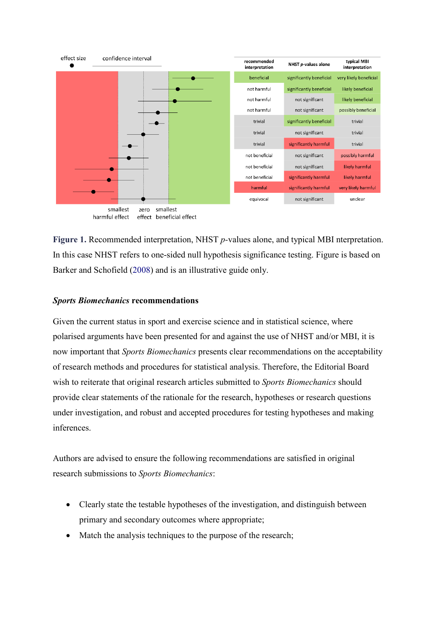

harmful effect effect beneficial effect

**Figure 1.** Recommended interpretation, NHST *p-*values alone, and typical MBI nterpretation. In this case NHST refers to one-sided null hypothesis significance testing. Figure is based on Barker and Schofield (2008) and is an illustrative guide only.

# *Sports Biomechanics* **recommendations**

Given the current status in sport and exercise science and in statistical science, where polarised arguments have been presented for and against the use of NHST and/or MBI, it is now important that *Sports Biomechanics* presents clear recommendations on the acceptability of research methods and procedures for statistical analysis. Therefore, the Editorial Board wish to reiterate that original research articles submitted to *Sports Biomechanics* should provide clear statements of the rationale for the research, hypotheses or research questions under investigation, and robust and accepted procedures for testing hypotheses and making inferences.

Authors are advised to ensure the following recommendations are satisfied in original research submissions to *Sports Biomechanics*:

- Clearly state the testable hypotheses of the investigation, and distinguish between primary and secondary outcomes where appropriate;
- Match the analysis techniques to the purpose of the research;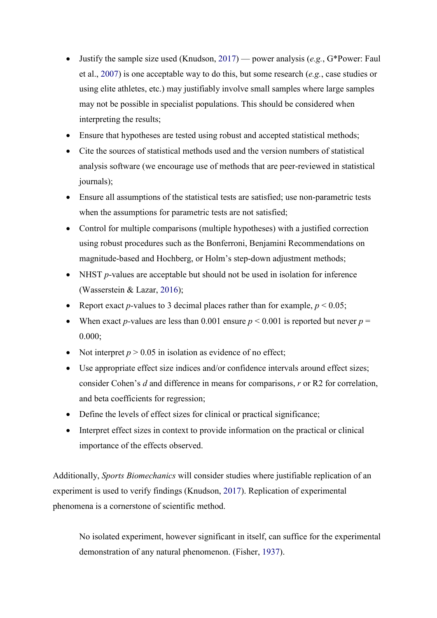- Justify the sample size used (Knudson, 2017) power analysis (*e.g.*, G\*Power: Faul et al., 2007) is one acceptable way to do this, but some research (*e.g.*, case studies or using elite athletes, etc.) may justifiably involve small samples where large samples may not be possible in specialist populations. This should be considered when interpreting the results;
- Ensure that hypotheses are tested using robust and accepted statistical methods;
- Cite the sources of statistical methods used and the version numbers of statistical analysis software (we encourage use of methods that are peer-reviewed in statistical journals);
- Ensure all assumptions of the statistical tests are satisfied; use non-parametric tests when the assumptions for parametric tests are not satisfied;
- Control for multiple comparisons (multiple hypotheses) with a justified correction using robust procedures such as the Bonferroni, Benjamini Recommendations on magnitude-based and Hochberg, or Holm's step-down adjustment methods;
- NHST *p*-values are acceptable but should not be used in isolation for inference (Wasserstein & Lazar, 2016);
- Report exact *p*-values to 3 decimal places rather than for example,  $p < 0.05$ ;
- When exact *p*-values are less than 0.001 ensure  $p \le 0.001$  is reported but never  $p =$ 0.000;
- Not interpret  $p > 0.05$  in isolation as evidence of no effect;
- Use appropriate effect size indices and/or confidence intervals around effect sizes; consider Cohen's *d* and difference in means for comparisons, *r* or R2 for correlation, and beta coefficients for regression;
- Define the levels of effect sizes for clinical or practical significance;
- Interpret effect sizes in context to provide information on the practical or clinical importance of the effects observed.

Additionally, *Sports Biomechanics* will consider studies where justifiable replication of an experiment is used to verify findings (Knudson, 2017). Replication of experimental phenomena is a cornerstone of scientific method.

No isolated experiment, however significant in itself, can suffice for the experimental demonstration of any natural phenomenon. (Fisher, 1937).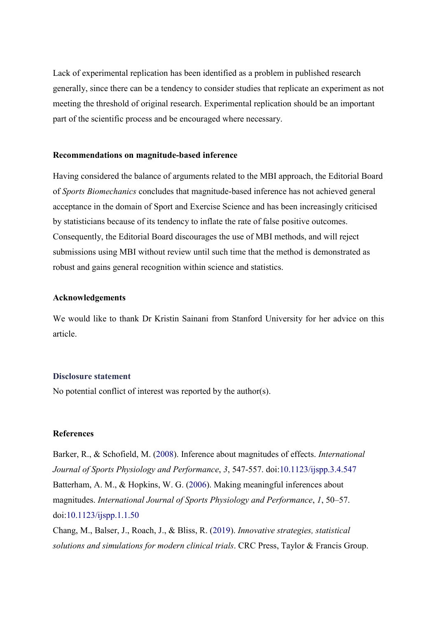Lack of experimental replication has been identified as a problem in published research generally, since there can be a tendency to consider studies that replicate an experiment as not meeting the threshold of original research. Experimental replication should be an important part of the scientific process and be encouraged where necessary.

### **Recommendations on magnitude-based inference**

Having considered the balance of arguments related to the MBI approach, the Editorial Board of *Sports Biomechanics* concludes that magnitude-based inference has not achieved general acceptance in the domain of Sport and Exercise Science and has been increasingly criticised by statisticians because of its tendency to inflate the rate of false positive outcomes. Consequently, the Editorial Board discourages the use of MBI methods, and will reject submissions using MBI without review until such time that the method is demonstrated as robust and gains general recognition within science and statistics.

## **Acknowledgements**

We would like to thank Dr Kristin Sainani from Stanford University for her advice on this article.

### **Disclosure statement**

No potential conflict of interest was reported by the author(s).

## **References**

Barker, R., & Schofield, M. (2008). Inference about magnitudes of effects. *International Journal of Sports Physiology and Performance*, *3*, 547-557. doi:10.1123/ijspp.3.4.547 Batterham, A. M., & Hopkins, W. G. (2006). Making meaningful inferences about magnitudes. *International Journal of Sports Physiology and Performance*, *1*, 50–57. doi:10.1123/ijspp.1.1.50

Chang, M., Balser, J., Roach, J., & Bliss, R. (2019). *Innovative strategies, statistical solutions and simulations for modern clinical trials*. CRC Press, Taylor & Francis Group.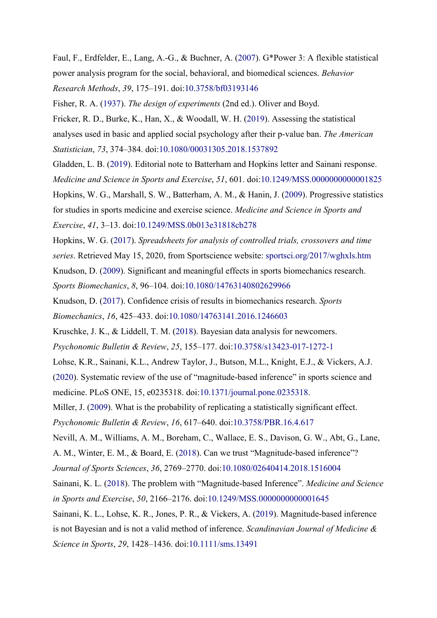Faul, F., Erdfelder, E., Lang, A.-G., & Buchner, A. (2007). G\*Power 3: A flexible statistical power analysis program for the social, behavioral, and biomedical sciences. *Behavior* 

*Research Methods*, *39*, 175–191. doi:10.3758/bf03193146

Fisher, R. A. (1937). *The design of experiments* (2nd ed.). Oliver and Boyd.

Fricker, R. D., Burke, K., Han, X., & Woodall, W. H. (2019). Assessing the statistical analyses used in basic and applied social psychology after their p-value ban. *The American Statistician*, *73*, 374–384. doi:10.1080/00031305.2018.1537892

Gladden, L. B. (2019). Editorial note to Batterham and Hopkins letter and Sainani response. *Medicine and Science in Sports and Exercise*, *51*, 601. doi:10.1249/MSS.0000000000001825

Hopkins, W. G., Marshall, S. W., Batterham, A. M., & Hanin, J. (2009). Progressive statistics for studies in sports medicine and exercise science. *Medicine and Science in Sports and Exercise*, *41*, 3–13. doi:10.1249/MSS.0b013e31818cb278

Hopkins, W. G. (2017). *Spreadsheets for analysis of controlled trials, crossovers and time series*. Retrieved May 15, 2020, from Sportscience website: sportsci.org/2017/wghxls.htm

Knudson, D. (2009). Significant and meaningful effects in sports biomechanics research. *Sports Biomechanics*, *8*, 96–104. doi:10.1080/14763140802629966

Knudson, D. (2017). Confidence crisis of results in biomechanics research. *Sports* 

*Biomechanics*, *16*, 425–433. doi:10.1080/14763141.2016.1246603

Kruschke, J. K., & Liddell, T. M. (2018). Bayesian data analysis for newcomers.

*Psychonomic Bulletin & Review*, *25*, 155–177. doi:10.3758/s13423-017-1272-1

Lohse, K.R., Sainani, K.L., Andrew Taylor, J., Butson, M.L., Knight, E.J., & Vickers, A.J.

(2020). Systematic review of the use of "magnitude-based inference" in sports science and medicine. PLoS ONE, 15, e0235318. doi:10.1371/journal.pone.0235318.

Miller, J. (2009). What is the probability of replicating a statistically significant effect.

*Psychonomic Bulletin & Review*, *16*, 617–640. doi:10.3758/PBR.16.4.617

Nevill, A. M., Williams, A. M., Boreham, C., Wallace, E. S., Davison, G. W., Abt, G., Lane,

A. M., Winter, E. M., & Board, E. (2018). Can we trust "Magnitude-based inference"?

*Journal of Sports Sciences*, *36*, 2769–2770. doi:10.1080/02640414.2018.1516004

Sainani, K. L. (2018). The problem with "Magnitude-based Inference". *Medicine and Science in Sports and Exercise*, *50*, 2166–2176. doi:10.1249/MSS.0000000000001645

Sainani, K. L., Lohse, K. R., Jones, P. R., & Vickers, A. (2019). Magnitude-based inference is not Bayesian and is not a valid method of inference. *Scandinavian Journal of Medicine & Science in Sports*, *29*, 1428–1436. doi:10.1111/sms.13491